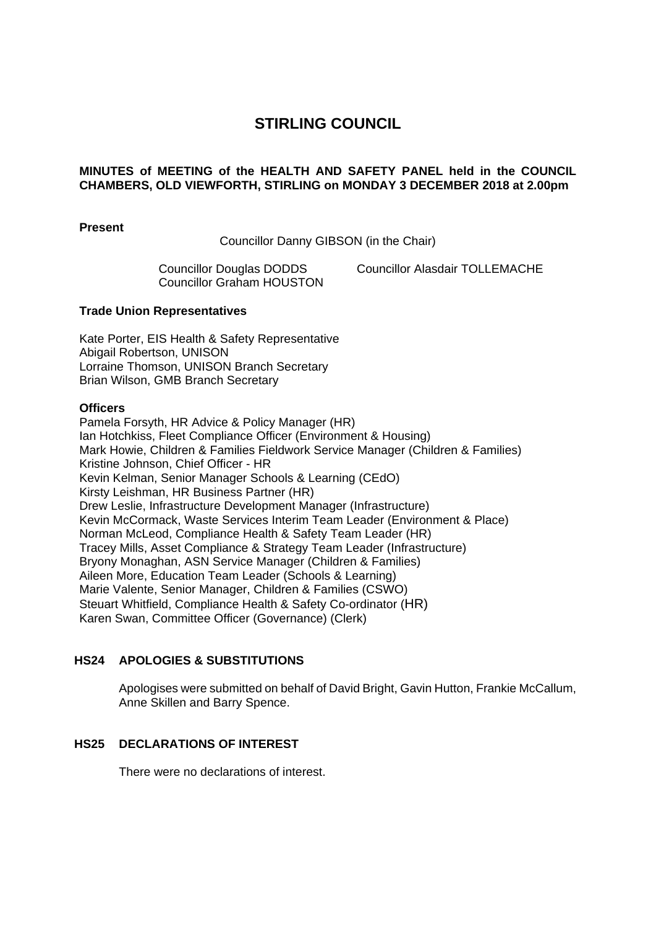# **STIRLING COUNCIL**

## **MINUTES of MEETING of the HEALTH AND SAFETY PANEL held in the COUNCIL CHAMBERS, OLD VIEWFORTH, STIRLING on MONDAY 3 DECEMBER 2018 at 2.00pm**

**Present** 

Councillor Danny GIBSON (in the Chair)

Councillor Graham HOUSTON

Councillor Douglas DODDS Councillor Alasdair TOLLEMACHE

#### **Trade Union Representatives**

Kate Porter, EIS Health & Safety Representative Abigail Robertson, UNISON Lorraine Thomson, UNISON Branch Secretary Brian Wilson, GMB Branch Secretary

#### **Officers**

Pamela Forsyth, HR Advice & Policy Manager (HR) Ian Hotchkiss, Fleet Compliance Officer (Environment & Housing) Mark Howie, Children & Families Fieldwork Service Manager (Children & Families) Kristine Johnson, Chief Officer - HR Kevin Kelman, Senior Manager Schools & Learning (CEdO) Kirsty Leishman, HR Business Partner (HR) Drew Leslie, Infrastructure Development Manager (Infrastructure) Kevin McCormack, Waste Services Interim Team Leader (Environment & Place) Norman McLeod, Compliance Health & Safety Team Leader (HR) Tracey Mills, Asset Compliance & Strategy Team Leader (Infrastructure) Bryony Monaghan, ASN Service Manager (Children & Families) Aileen More, Education Team Leader (Schools & Learning) Marie Valente, Senior Manager, Children & Families (CSWO) Steuart Whitfield, Compliance Health & Safety Co-ordinator (HR) Karen Swan, Committee Officer (Governance) (Clerk)

# **HS24 APOLOGIES & SUBSTITUTIONS**

Apologises were submitted on behalf of David Bright, Gavin Hutton, Frankie McCallum, Anne Skillen and Barry Spence.

# **HS25 DECLARATIONS OF INTEREST**

There were no declarations of interest.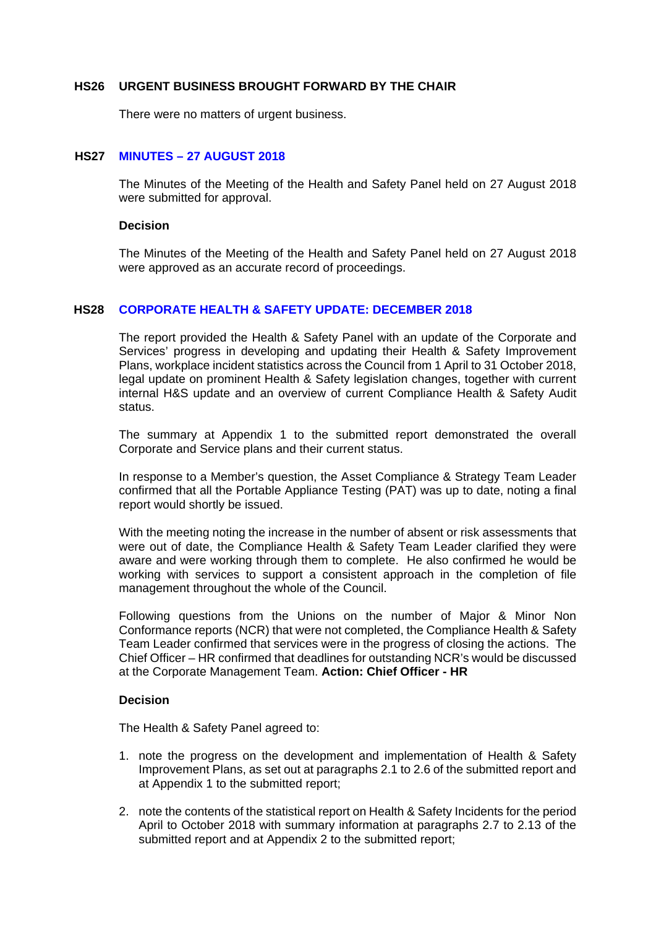#### **HS26 URGENT BUSINESS BROUGHT FORWARD BY THE CHAIR**

There were no matters of urgent business.

# **HS27 MINUTES – 27 AUGUST 2018**

The Minutes of the Meeting of the Health and Safety Panel held on 27 August 2018 were submitted for approval.

#### **Decision**

The Minutes of the Meeting of the Health and Safety Panel held on 27 August 2018 were approved as an accurate record of proceedings.

#### **HS28 CORPORATE HEALTH & SAFETY UPDATE: DECEMBER 2018**

The report provided the Health & Safety Panel with an update of the Corporate and Services' progress in developing and updating their Health & Safety Improvement Plans, workplace incident statistics across the Council from 1 April to 31 October 2018, legal update on prominent Health & Safety legislation changes, together with current internal H&S update and an overview of current Compliance Health & Safety Audit status.

The summary at Appendix 1 to the submitted report demonstrated the overall Corporate and Service plans and their current status.

In response to a Member's question, the Asset Compliance & Strategy Team Leader confirmed that all the Portable Appliance Testing (PAT) was up to date, noting a final report would shortly be issued.

With the meeting noting the increase in the number of absent or risk assessments that were out of date, the Compliance Health & Safety Team Leader clarified they were aware and were working through them to complete. He also confirmed he would be working with services to support a consistent approach in the completion of file management throughout the whole of the Council.

Following questions from the Unions on the number of Major & Minor Non Conformance reports (NCR) that were not completed, the Compliance Health & Safety Team Leader confirmed that services were in the progress of closing the actions. The Chief Officer – HR confirmed that deadlines for outstanding NCR's would be discussed at the Corporate Management Team. **Action: Chief Officer - HR** 

## **Decision**

The Health & Safety Panel agreed to:

- 1. note the progress on the development and implementation of Health & Safety Improvement Plans, as set out at paragraphs 2.1 to 2.6 of the submitted report and at Appendix 1 to the submitted report;
- 2. note the contents of the statistical report on Health & Safety Incidents for the period April to October 2018 with summary information at paragraphs 2.7 to 2.13 of the submitted report and at Appendix 2 to the submitted report;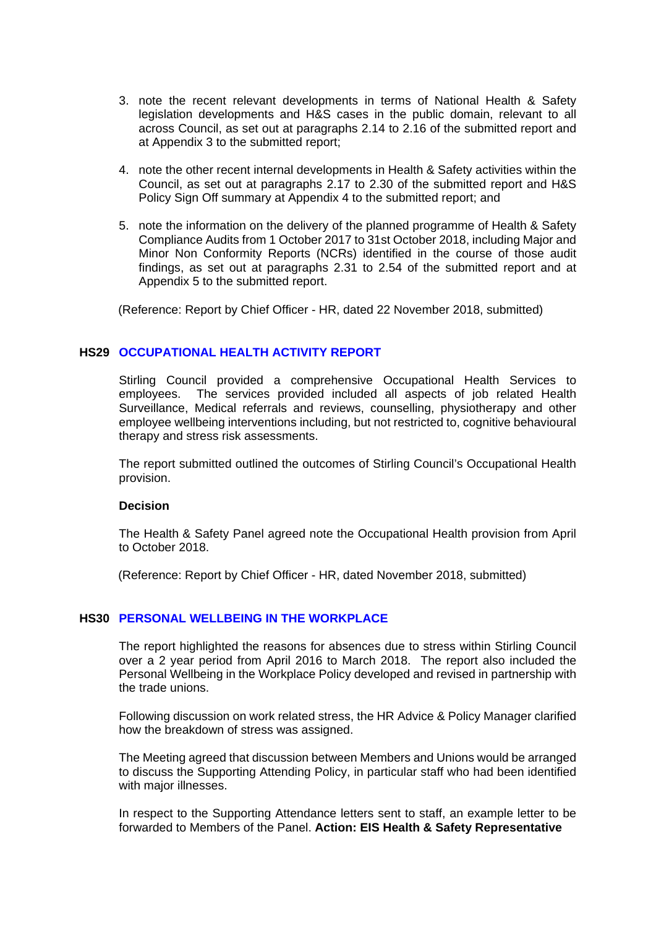- 3. note the recent relevant developments in terms of National Health & Safety legislation developments and H&S cases in the public domain, relevant to all across Council, as set out at paragraphs 2.14 to 2.16 of the submitted report and at Appendix 3 to the submitted report;
- 4. note the other recent internal developments in Health & Safety activities within the Council, as set out at paragraphs 2.17 to 2.30 of the submitted report and H&S Policy Sign Off summary at Appendix 4 to the submitted report; and
- 5. note the information on the delivery of the planned programme of Health & Safety Compliance Audits from 1 October 2017 to 31st October 2018, including Major and Minor Non Conformity Reports (NCRs) identified in the course of those audit findings, as set out at paragraphs 2.31 to 2.54 of the submitted report and at Appendix 5 to the submitted report.

(Reference: Report by Chief Officer - HR, dated 22 November 2018, submitted)

## **HS29 OCCUPATIONAL HEALTH ACTIVITY REPORT**

Stirling Council provided a comprehensive Occupational Health Services to employees. The services provided included all aspects of job related Health Surveillance, Medical referrals and reviews, counselling, physiotherapy and other employee wellbeing interventions including, but not restricted to, cognitive behavioural therapy and stress risk assessments.

The report submitted outlined the outcomes of Stirling Council's Occupational Health provision.

#### **Decision**

The Health & Safety Panel agreed note the Occupational Health provision from April to October 2018.

(Reference: Report by Chief Officer - HR, dated November 2018, submitted)

## **HS30 PERSONAL WELLBEING IN THE WORKPLACE**

The report highlighted the reasons for absences due to stress within Stirling Council over a 2 year period from April 2016 to March 2018. The report also included the Personal Wellbeing in the Workplace Policy developed and revised in partnership with the trade unions.

Following discussion on work related stress, the HR Advice & Policy Manager clarified how the breakdown of stress was assigned.

The Meeting agreed that discussion between Members and Unions would be arranged to discuss the Supporting Attending Policy, in particular staff who had been identified with major illnesses.

In respect to the Supporting Attendance letters sent to staff, an example letter to be forwarded to Members of the Panel. **Action: EIS Health & Safety Representative**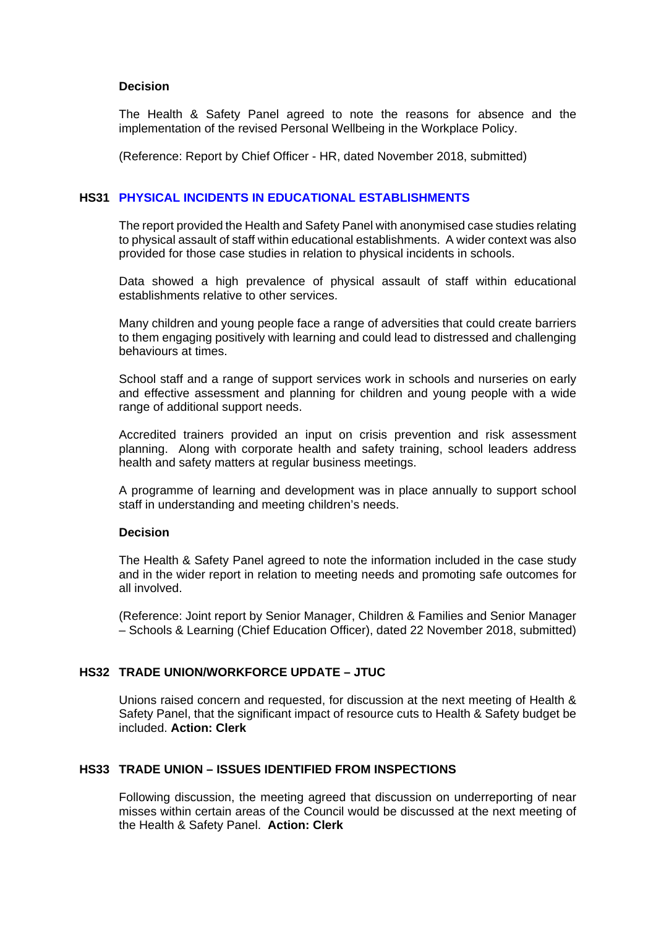## **Decision**

The Health & Safety Panel agreed to note the reasons for absence and the implementation of the revised Personal Wellbeing in the Workplace Policy.

(Reference: Report by Chief Officer - HR, dated November 2018, submitted)

## **HS31 PHYSICAL INCIDENTS IN EDUCATIONAL ESTABLISHMENTS**

The report provided the Health and Safety Panel with anonymised case studies relating to physical assault of staff within educational establishments. A wider context was also provided for those case studies in relation to physical incidents in schools.

Data showed a high prevalence of physical assault of staff within educational establishments relative to other services.

Many children and young people face a range of adversities that could create barriers to them engaging positively with learning and could lead to distressed and challenging behaviours at times.

School staff and a range of support services work in schools and nurseries on early and effective assessment and planning for children and young people with a wide range of additional support needs.

Accredited trainers provided an input on crisis prevention and risk assessment planning. Along with corporate health and safety training, school leaders address health and safety matters at regular business meetings.

A programme of learning and development was in place annually to support school staff in understanding and meeting children's needs.

## **Decision**

The Health & Safety Panel agreed to note the information included in the case study and in the wider report in relation to meeting needs and promoting safe outcomes for all involved.

(Reference: Joint report by Senior Manager, Children & Families and Senior Manager – Schools & Learning (Chief Education Officer), dated 22 November 2018, submitted)

# **HS32 TRADE UNION/WORKFORCE UPDATE – JTUC**

Unions raised concern and requested, for discussion at the next meeting of Health & Safety Panel, that the significant impact of resource cuts to Health & Safety budget be included. **Action: Clerk**

# **HS33 TRADE UNION – ISSUES IDENTIFIED FROM INSPECTIONS**

Following discussion, the meeting agreed that discussion on underreporting of near misses within certain areas of the Council would be discussed at the next meeting of the Health & Safety Panel. **Action: Clerk**